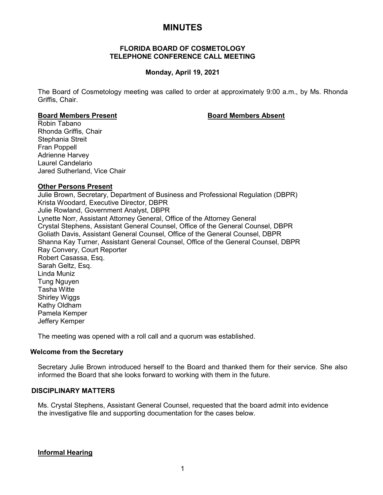# **MINUTES**

## **FLORIDA BOARD OF COSMETOLOGY TELEPHONE CONFERENCE CALL MEETING**

## **Monday, April 19, 2021**

The Board of Cosmetology meeting was called to order at approximately 9:00 a.m., by Ms. Rhonda Griffis, Chair.

#### **Board Members Present Board Members Absent**

Robin Tabano Rhonda Griffis, Chair Stephania Streit Fran Poppell Adrienne Harvey Laurel Candelario Jared Sutherland, Vice Chair

#### **Other Persons Present**

Julie Brown, Secretary, Department of Business and Professional Regulation (DBPR) Krista Woodard, Executive Director, DBPR Julie Rowland, Government Analyst, DBPR Lynette Norr, Assistant Attorney General, Office of the Attorney General Crystal Stephens, Assistant General Counsel, Office of the General Counsel, DBPR Goliath Davis, Assistant General Counsel, Office of the General Counsel, DBPR Shanna Kay Turner, Assistant General Counsel, Office of the General Counsel, DBPR Ray Convery, Court Reporter Robert Casassa, Esq. Sarah Geltz, Esq. Linda Muniz Tung Nguyen Tasha Witte Shirley Wiggs Kathy Oldham Pamela Kemper Jeffery Kemper

The meeting was opened with a roll call and a quorum was established.

## **Welcome from the Secretary**

Secretary Julie Brown introduced herself to the Board and thanked them for their service. She also informed the Board that she looks forward to working with them in the future.

## **DISCIPLINARY MATTERS**

Ms. Crystal Stephens, Assistant General Counsel, requested that the board admit into evidence the investigative file and supporting documentation for the cases below.

## **Informal Hearing**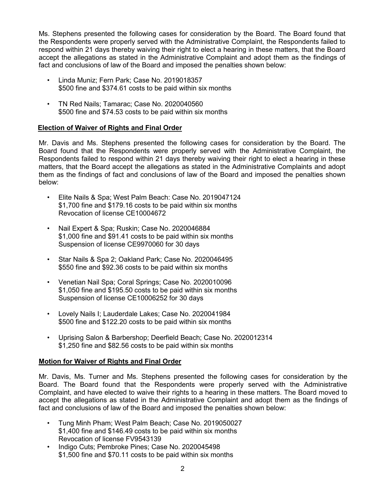Ms. Stephens presented the following cases for consideration by the Board. The Board found that the Respondents were properly served with the Administrative Complaint, the Respondents failed to respond within 21 days thereby waiving their right to elect a hearing in these matters, that the Board accept the allegations as stated in the Administrative Complaint and adopt them as the findings of fact and conclusions of law of the Board and imposed the penalties shown below:

- Linda Muniz; Fern Park; Case No. 2019018357 \$500 fine and \$374.61 costs to be paid within six months
- TN Red Nails; Tamarac; Case No. 2020040560 \$500 fine and \$74.53 costs to be paid within six months

## **Election of Waiver of Rights and Final Order**

Mr. Davis and Ms. Stephens presented the following cases for consideration by the Board. The Board found that the Respondents were properly served with the Administrative Complaint, the Respondents failed to respond within 21 days thereby waiving their right to elect a hearing in these matters, that the Board accept the allegations as stated in the Administrative Complaints and adopt them as the findings of fact and conclusions of law of the Board and imposed the penalties shown below:

- Elite Nails & Spa; West Palm Beach: Case No. 2019047124 \$1,700 fine and \$179.16 costs to be paid within six months Revocation of license CE10004672
- Nail Expert & Spa; Ruskin; Case No. 2020046884 \$1,000 fine and \$91.41 costs to be paid within six months Suspension of license CE9970060 for 30 days
- Star Nails & Spa 2; Oakland Park; Case No. 2020046495 \$550 fine and \$92.36 costs to be paid within six months
- Venetian Nail Spa; Coral Springs; Case No. 2020010096 \$1,050 fine and \$195.50 costs to be paid within six months Suspension of license CE10006252 for 30 days
- Lovely Nails I; Lauderdale Lakes; Case No. 2020041984 \$500 fine and \$122.20 costs to be paid within six months
- Uprising Salon & Barbershop; Deerfield Beach; Case No. 2020012314 \$1,250 fine and \$82.56 costs to be paid within six months

## **Motion for Waiver of Rights and Final Order**

Mr. Davis, Ms. Turner and Ms. Stephens presented the following cases for consideration by the Board. The Board found that the Respondents were properly served with the Administrative Complaint, and have elected to waive their rights to a hearing in these matters. The Board moved to accept the allegations as stated in the Administrative Complaint and adopt them as the findings of fact and conclusions of law of the Board and imposed the penalties shown below:

- Tung Minh Pham; West Palm Beach; Case No. 2019050027 \$1,400 fine and \$146.49 costs to be paid within six months Revocation of license FV9543139
- Indigo Cuts; Pembroke Pines; Case No. 2020045498 \$1,500 fine and \$70.11 costs to be paid within six months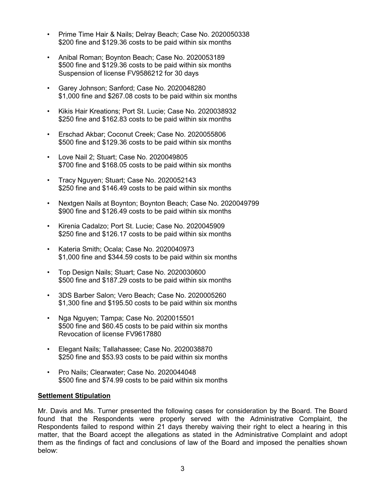- Prime Time Hair & Nails; Delray Beach; Case No. 2020050338 \$200 fine and \$129.36 costs to be paid within six months
- Anibal Roman; Boynton Beach; Case No. 2020053189 \$500 fine and \$129.36 costs to be paid within six months Suspension of license FV9586212 for 30 days
- Garey Johnson; Sanford; Case No. 2020048280 \$1,000 fine and \$267.08 costs to be paid within six months
- Kikis Hair Kreations; Port St. Lucie; Case No. 2020038932 \$250 fine and \$162.83 costs to be paid within six months
- Erschad Akbar; Coconut Creek; Case No. 2020055806 \$500 fine and \$129.36 costs to be paid within six months
- Love Nail 2; Stuart; Case No. 2020049805 \$700 fine and \$168.05 costs to be paid within six months
- Tracy Nguyen; Stuart; Case No. 2020052143 \$250 fine and \$146.49 costs to be paid within six months
- Nextgen Nails at Boynton; Boynton Beach; Case No. 2020049799 \$900 fine and \$126.49 costs to be paid within six months
- Kirenia Cadalzo; Port St. Lucie; Case No. 2020045909 \$250 fine and \$126.17 costs to be paid within six months
- Kateria Smith; Ocala; Case No. 2020040973 \$1,000 fine and \$344.59 costs to be paid within six months
- Top Design Nails; Stuart; Case No. 2020030600 \$500 fine and \$187.29 costs to be paid within six months
- 3DS Barber Salon; Vero Beach; Case No. 2020005260 \$1,300 fine and \$195.50 costs to be paid within six months
- Nga Nguyen; Tampa; Case No. 2020015501 \$500 fine and \$60.45 costs to be paid within six months Revocation of license FV9617880
- Elegant Nails; Tallahassee; Case No. 2020038870 \$250 fine and \$53.93 costs to be paid within six months
- Pro Nails; Clearwater; Case No. 2020044048 \$500 fine and \$74.99 costs to be paid within six months

## **Settlement Stipulation**

Mr. Davis and Ms. Turner presented the following cases for consideration by the Board. The Board found that the Respondents were properly served with the Administrative Complaint, the Respondents failed to respond within 21 days thereby waiving their right to elect a hearing in this matter, that the Board accept the allegations as stated in the Administrative Complaint and adopt them as the findings of fact and conclusions of law of the Board and imposed the penalties shown below: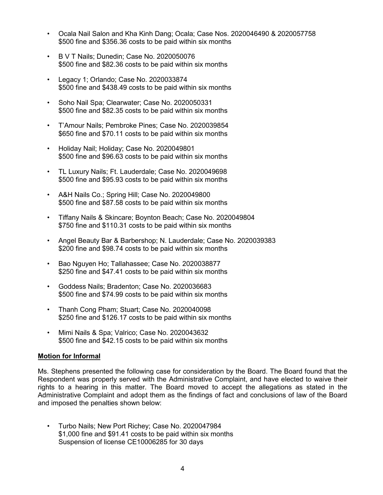- Ocala Nail Salon and Kha Kinh Dang; Ocala; Case Nos. 2020046490 & 2020057758 \$500 fine and \$356.36 costs to be paid within six months
- B V T Nails; Dunedin; Case No. 2020050076 \$500 fine and \$82.36 costs to be paid within six months
- Legacy 1; Orlando; Case No. 2020033874 \$500 fine and \$438.49 costs to be paid within six months
- Soho Nail Spa; Clearwater; Case No. 2020050331 \$500 fine and \$82.35 costs to be paid within six months
- T'Amour Nails; Pembroke Pines; Case No. 2020039854 \$650 fine and \$70.11 costs to be paid within six months
- Holiday Nail; Holiday; Case No. 2020049801 \$500 fine and \$96.63 costs to be paid within six months
- TL Luxury Nails; Ft. Lauderdale; Case No. 2020049698 \$500 fine and \$95.93 costs to be paid within six months
- A&H Nails Co.; Spring Hill; Case No. 2020049800 \$500 fine and \$87.58 costs to be paid within six months
- Tiffany Nails & Skincare; Boynton Beach; Case No. 2020049804 \$750 fine and \$110.31 costs to be paid within six months
- Angel Beauty Bar & Barbershop; N. Lauderdale; Case No. 2020039383 \$200 fine and \$98.74 costs to be paid within six months
- Bao Nguyen Ho; Tallahassee; Case No. 2020038877 \$250 fine and \$47.41 costs to be paid within six months
- Goddess Nails; Bradenton; Case No. 2020036683 \$500 fine and \$74.99 costs to be paid within six months
- Thanh Cong Pham; Stuart; Case No. 2020040098 \$250 fine and \$126.17 costs to be paid within six months
- Mimi Nails & Spa; Valrico; Case No. 2020043632 \$500 fine and \$42.15 costs to be paid within six months

## **Motion for Informal**

Ms. Stephens presented the following case for consideration by the Board. The Board found that the Respondent was properly served with the Administrative Complaint, and have elected to waive their rights to a hearing in this matter. The Board moved to accept the allegations as stated in the Administrative Complaint and adopt them as the findings of fact and conclusions of law of the Board and imposed the penalties shown below:

• Turbo Nails; New Port Richey; Case No. 2020047984 \$1,000 fine and \$91.41 costs to be paid within six months Suspension of license CE10006285 for 30 days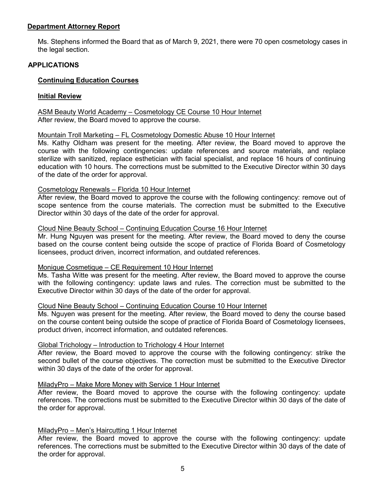## **Department Attorney Report**

Ms. Stephens informed the Board that as of March 9, 2021, there were 70 open cosmetology cases in the legal section.

## **APPLICATIONS**

## **Continuing Education Courses**

## **Initial Review**

ASM Beauty World Academy – Cosmetology CE Course 10 Hour Internet After review, the Board moved to approve the course.

## Mountain Troll Marketing – FL Cosmetology Domestic Abuse 10 Hour Internet

Ms. Kathy Oldham was present for the meeting. After review, the Board moved to approve the course with the following contingencies: update references and source materials, and replace sterilize with sanitized, replace esthetician with facial specialist, and replace 16 hours of continuing education with 10 hours. The corrections must be submitted to the Executive Director within 30 days of the date of the order for approval.

## Cosmetology Renewals – Florida 10 Hour Internet

After review, the Board moved to approve the course with the following contingency: remove out of scope sentence from the course materials. The correction must be submitted to the Executive Director within 30 days of the date of the order for approval.

#### Cloud Nine Beauty School – Continuing Education Course 16 Hour Internet

Mr. Hung Nguyen was present for the meeting. After review, the Board moved to deny the course based on the course content being outside the scope of practice of Florida Board of Cosmetology licensees, product driven, incorrect information, and outdated references.

## Monique Cosmetique – CE Requirement 10 Hour Internet

Ms. Tasha Witte was present for the meeting. After review, the Board moved to approve the course with the following contingency: update laws and rules. The correction must be submitted to the Executive Director within 30 days of the date of the order for approval.

## Cloud Nine Beauty School – Continuing Education Course 10 Hour Internet

Ms. Nguyen was present for the meeting. After review, the Board moved to deny the course based on the course content being outside the scope of practice of Florida Board of Cosmetology licensees, product driven, incorrect information, and outdated references.

## Global Trichology – Introduction to Trichology 4 Hour Internet

After review, the Board moved to approve the course with the following contingency: strike the second bullet of the course objectives. The correction must be submitted to the Executive Director within 30 days of the date of the order for approval.

## MiladyPro – Make More Money with Service 1 Hour Internet

After review, the Board moved to approve the course with the following contingency: update references. The corrections must be submitted to the Executive Director within 30 days of the date of the order for approval.

## MiladyPro – Men's Haircutting 1 Hour Internet

After review, the Board moved to approve the course with the following contingency: update references. The corrections must be submitted to the Executive Director within 30 days of the date of the order for approval.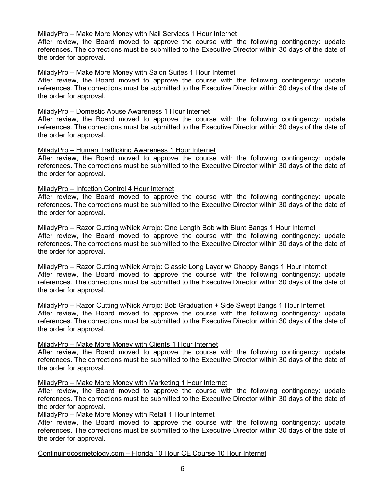## MiladyPro – Make More Money with Nail Services 1 Hour Internet

After review, the Board moved to approve the course with the following contingency: update references. The corrections must be submitted to the Executive Director within 30 days of the date of the order for approval.

## MiladyPro – Make More Money with Salon Suites 1 Hour Internet

After review, the Board moved to approve the course with the following contingency: update references. The corrections must be submitted to the Executive Director within 30 days of the date of the order for approval.

## MiladyPro – Domestic Abuse Awareness 1 Hour Internet

After review, the Board moved to approve the course with the following contingency: update references. The corrections must be submitted to the Executive Director within 30 days of the date of the order for approval.

## MiladyPro – Human Trafficking Awareness 1 Hour Internet

After review, the Board moved to approve the course with the following contingency: update references. The corrections must be submitted to the Executive Director within 30 days of the date of the order for approval.

## MiladyPro – Infection Control 4 Hour Internet

After review, the Board moved to approve the course with the following contingency: update references. The corrections must be submitted to the Executive Director within 30 days of the date of the order for approval.

## MiladyPro – Razor Cutting w/Nick Arrojo: One Length Bob with Blunt Bangs 1 Hour Internet After review, the Board moved to approve the course with the following contingency: update references. The corrections must be submitted to the Executive Director within 30 days of the date of the order for approval.

MiladyPro – Razor Cutting w/Nick Arrojo: Classic Long Layer w/ Choppy Bangs 1 Hour Internet After review, the Board moved to approve the course with the following contingency: update references. The corrections must be submitted to the Executive Director within 30 days of the date of the order for approval.

MiladyPro – Razor Cutting w/Nick Arrojo: Bob Graduation + Side Swept Bangs 1 Hour Internet After review, the Board moved to approve the course with the following contingency: update references. The corrections must be submitted to the Executive Director within 30 days of the date of the order for approval.

## MiladyPro – Make More Money with Clients 1 Hour Internet

After review, the Board moved to approve the course with the following contingency: update references. The corrections must be submitted to the Executive Director within 30 days of the date of the order for approval.

MiladyPro – Make More Money with Marketing 1 Hour Internet

After review, the Board moved to approve the course with the following contingency: update references. The corrections must be submitted to the Executive Director within 30 days of the date of the order for approval.

## MiladyPro – Make More Money with Retail 1 Hour Internet

After review, the Board moved to approve the course with the following contingency: update references. The corrections must be submitted to the Executive Director within 30 days of the date of the order for approval.

Continuingcosmetology.com – Florida 10 Hour CE Course 10 Hour Internet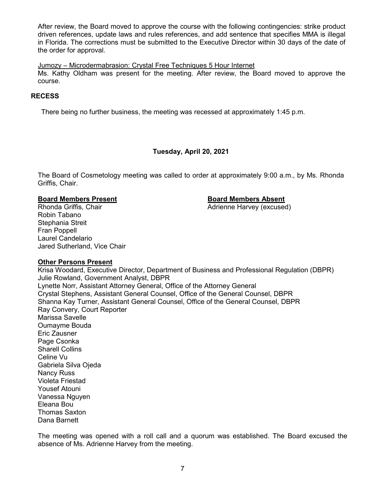After review, the Board moved to approve the course with the following contingencies: strike product driven references, update laws and rules references, and add sentence that specifies MMA is illegal in Florida. The corrections must be submitted to the Executive Director within 30 days of the date of the order for approval.

## Jumozy – Microdermabrasion: Crystal Free Techniques 5 Hour Internet

Ms. Kathy Oldham was present for the meeting. After review, the Board moved to approve the course.

## **RECESS**

There being no further business, the meeting was recessed at approximately 1:45 p.m.

## **Tuesday, April 20, 2021**

The Board of Cosmetology meeting was called to order at approximately 9:00 a.m., by Ms. Rhonda Griffis, Chair.

Adrienne Harvey (excused)

**Board Members Present Board Members Absent** Robin Tabano Stephania Streit Fran Poppell Laurel Candelario Jared Sutherland, Vice Chair

## **Other Persons Present**

Krisa Woodard, Executive Director, Department of Business and Professional Regulation (DBPR) Julie Rowland, Government Analyst, DBPR Lynette Norr, Assistant Attorney General, Office of the Attorney General Crystal Stephens, Assistant General Counsel, Office of the General Counsel, DBPR Shanna Kay Turner, Assistant General Counsel, Office of the General Counsel, DBPR Ray Convery, Court Reporter Marissa Savelle Oumayme Bouda Eric Zausner Page Csonka Sharell Collins Celine Vu Gabriela Silva Ojeda Nancy Russ Violeta Friestad Yousef Atouni Vanessa Nguyen Eleana Bou Thomas Saxton Dana Barnett

The meeting was opened with a roll call and a quorum was established. The Board excused the absence of Ms. Adrienne Harvey from the meeting.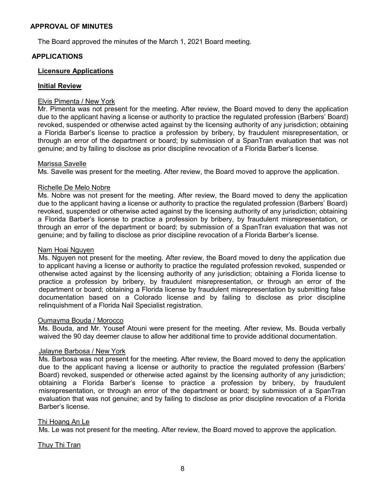## **APPROVAL OF MINUTES**

The Board approved the minutes of the March 1, 2021 Board meeting.

## **APPLICATIONS**

## **Licensure Applications**

## **Initial Review**

## Elvis Pimenta / New York

Mr. Pimenta was not present for the meeting. After review, the Board moved to deny the application due to the applicant having a license or authority to practice the regulated profession (Barbers' Board) revoked, suspended or otherwise acted against by the licensing authority of any jurisdiction; obtaining a Florida Barber's license to practice a profession by bribery, by fraudulent misrepresentation, or through an error of the department or board; by submission of a SpanTran evaluation that was not genuine; and by failing to disclose as prior discipline revocation of a Florida Barber's license.

## Marissa Savelle

Ms. Savelle was present for the meeting. After review, the Board moved to approve the application.

## Richelle De Melo Nobre

Ms. Nobre was not present for the meeting. After review, the Board moved to deny the application due to the applicant having a license or authority to practice the regulated profession (Barbers' Board) revoked, suspended or otherwise acted against by the licensing authority of any jurisdiction; obtaining a Florida Barber's license to practice a profession by bribery, by fraudulent misrepresentation, or through an error of the department or board; by submission of a SpanTran evaluation that was not genuine; and by failing to disclose as prior discipline revocation of a Florida Barber's license.

#### Nam Hoai Nguyen

Ms. Nguyen not present for the meeting. After review, the Board moved to deny the application due to applicant having a license or authority to practice the regulated profession revoked, suspended or otherwise acted against by the licensing authority of any jurisdiction; obtaining a Florida license to practice a profession by bribery, by fraudulent misrepresentation, or through an error of the department or board; obtaining a Florida license by fraudulent misrepresentation by submitting false documentation based on a Colorado license and by failing to disclose as prior discipline relinquishment of a Florida Nail Specialist registration.

## Oumayma Bouda / Morocco

Ms. Bouda, and Mr. Yousef Atouni were present for the meeting. After review, Ms. Bouda verbally waived the 90 day deemer clause to allow her additional time to provide additional documentation.

## Jalayne Barbosa / New York

Ms. Barbosa was not present for the meeting. After review, the Board moved to deny the application due to the applicant having a license or authority to practice the regulated profession (Barbers' Board) revoked, suspended or otherwise acted against by the licensing authority of any jurisdiction; obtaining a Florida Barber's license to practice a profession by bribery, by fraudulent misrepresentation, or through an error of the department or board; by submission of a SpanTran evaluation that was not genuine; and by failing to disclose as prior discipline revocation of a Florida Barber's license.

## Thi Hoang An Le

Ms. Le was not present for the meeting. After review, the Board moved to approve the application.

## Thuy Thi Tran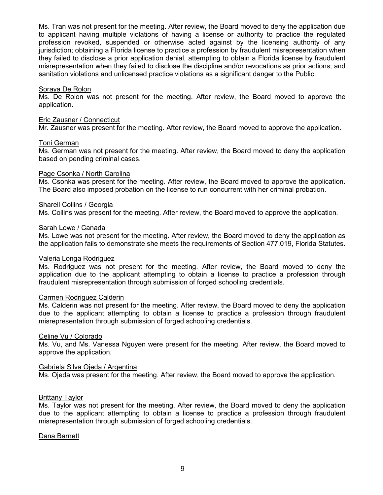Ms. Tran was not present for the meeting. After review, the Board moved to deny the application due to applicant having multiple violations of having a license or authority to practice the regulated profession revoked, suspended or otherwise acted against by the licensing authority of any jurisdiction; obtaining a Florida license to practice a profession by fraudulent misrepresentation when they failed to disclose a prior application denial, attempting to obtain a Florida license by fraudulent misrepresentation when they failed to disclose the discipline and/or revocations as prior actions; and sanitation violations and unlicensed practice violations as a significant danger to the Public.

## Soraya De Rolon

Ms. De Rolon was not present for the meeting. After review, the Board moved to approve the application.

## Eric Zausner / Connecticut

Mr. Zausner was present for the meeting. After review, the Board moved to approve the application.

## Toni German

Ms. German was not present for the meeting. After review, the Board moved to deny the application based on pending criminal cases.

## Page Csonka / North Carolina

Ms. Csonka was present for the meeting. After review, the Board moved to approve the application. The Board also imposed probation on the license to run concurrent with her criminal probation.

## Sharell Collins / Georgia

Ms. Collins was present for the meeting. After review, the Board moved to approve the application.

## Sarah Lowe / Canada

Ms. Lowe was not present for the meeting. After review, the Board moved to deny the application as the application fails to demonstrate she meets the requirements of Section 477.019, Florida Statutes.

## Valeria Longa Rodriguez

Ms. Rodriguez was not present for the meeting. After review, the Board moved to deny the application due to the applicant attempting to obtain a license to practice a profession through fraudulent misrepresentation through submission of forged schooling credentials.

## Carmen Rodriguez Calderin

Ms. Calderin was not present for the meeting. After review, the Board moved to deny the application due to the applicant attempting to obtain a license to practice a profession through fraudulent misrepresentation through submission of forged schooling credentials.

## Celine Vu / Colorado

Ms. Vu, and Ms. Vanessa Nguyen were present for the meeting. After review, the Board moved to approve the application.

## Gabriela Silva Ojeda / Argentina

Ms. Ojeda was present for the meeting. After review, the Board moved to approve the application.

## Brittany Taylor

Ms. Taylor was not present for the meeting. After review, the Board moved to deny the application due to the applicant attempting to obtain a license to practice a profession through fraudulent misrepresentation through submission of forged schooling credentials.

## Dana Barnett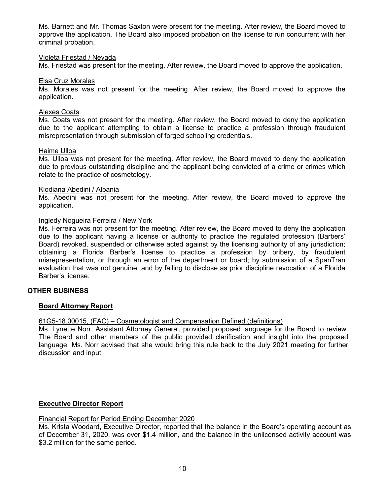Ms. Barnett and Mr. Thomas Saxton were present for the meeting. After review, the Board moved to approve the application. The Board also imposed probation on the license to run concurrent with her criminal probation.

#### Violeta Friestad / Nevada

Ms. Friestad was present for the meeting. After review, the Board moved to approve the application.

#### Elsa Cruz Morales

Ms. Morales was not present for the meeting. After review, the Board moved to approve the application.

#### Alexes Coats

Ms. Coats was not present for the meeting. After review, the Board moved to deny the application due to the applicant attempting to obtain a license to practice a profession through fraudulent misrepresentation through submission of forged schooling credentials.

#### Haime Ulloa

Ms. Ulloa was not present for the meeting. After review, the Board moved to deny the application due to previous outstanding discipline and the applicant being convicted of a crime or crimes which relate to the practice of cosmetology.

#### Klodiana Abedini / Albania

Ms. Abedini was not present for the meeting. After review, the Board moved to approve the application.

#### Ingledy Nogueira Ferreira / New York

Ms. Ferreira was not present for the meeting. After review, the Board moved to deny the application due to the applicant having a license or authority to practice the regulated profession (Barbers' Board) revoked, suspended or otherwise acted against by the licensing authority of any jurisdiction; obtaining a Florida Barber's license to practice a profession by bribery, by fraudulent misrepresentation, or through an error of the department or board; by submission of a SpanTran evaluation that was not genuine; and by failing to disclose as prior discipline revocation of a Florida Barber's license.

## **OTHER BUSINESS**

## **Board Attorney Report**

## 61G5-18.00015, (FAC) – Cosmetologist and Compensation Defined (definitions)

Ms. Lynette Norr, Assistant Attorney General, provided proposed language for the Board to review. The Board and other members of the public provided clarification and insight into the proposed language. Ms. Norr advised that she would bring this rule back to the July 2021 meeting for further discussion and input.

## **Executive Director Report**

## Financial Report for Period Ending December 2020

Ms. Krista Woodard, Executive Director, reported that the balance in the Board's operating account as of December 31, 2020, was over \$1.4 million, and the balance in the unlicensed activity account was \$3.2 million for the same period.